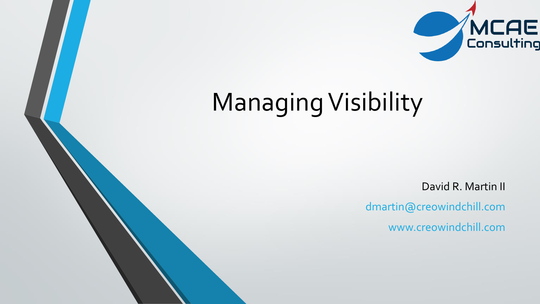

## Managing Visibility

David R. Martin II

dmartin@creowindchill.com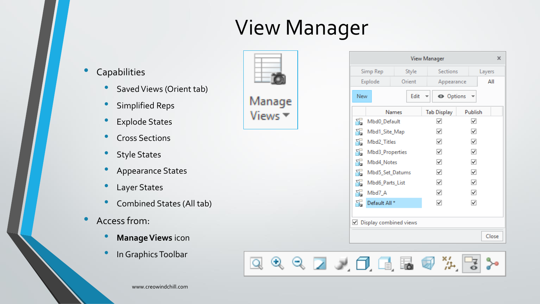## View Manager

- **Capabilities** 
	- Saved Views (Orient tab)
	- Simplified Reps
	- Explode States
	- Cross Sections
	- Style States
	- Appearance States
	- Layer States
	- Combined States (All tab)
- Access from:
	- **Manage Views** icon
	- In Graphics Toolbar





|                      |                 |                        | <b>View Manager</b> |              | x      |  |
|----------------------|-----------------|------------------------|---------------------|--------------|--------|--|
| Simp Rep             |                 | Style                  | Sections            |              | Layers |  |
|                      | Explode         | Orient                 | Appearance          |              | ΑII    |  |
| New                  |                 | Edit                   | <b>O</b> Options    |              |        |  |
|                      |                 | <b>Names</b>           | <b>Tab Display</b>  | Publish      |        |  |
| 동                    | Mbd0_Default    |                        | ✓                   | ✓            |        |  |
| 동                    | Mbd1_Site_Map   |                        | ✓                   | ✓            |        |  |
| 동                    | Mbd2_Titles     |                        | ✓                   | $\checkmark$ |        |  |
| Ŧ.                   | Mbd3_Properties |                        | ✓                   | ✓            |        |  |
| 동                    | Mbd4_Notes      |                        | ▽                   | ✓            |        |  |
| 동<br>Mbd5_Set_Datums |                 | ✓                      | ▽                   |              |        |  |
| 동<br>Mbd6_Parts_List |                 | ✓                      | ▽                   |              |        |  |
| 동                    | Mbd7_A          |                        | $\checkmark$        | ✓            |        |  |
| 두                    | Default All *   |                        | $\checkmark$        | $\checkmark$ |        |  |
|                      |                 |                        |                     |              |        |  |
| ✓                    |                 | Display combined views |                     |              |        |  |
|                      |                 |                        |                     |              | Close  |  |

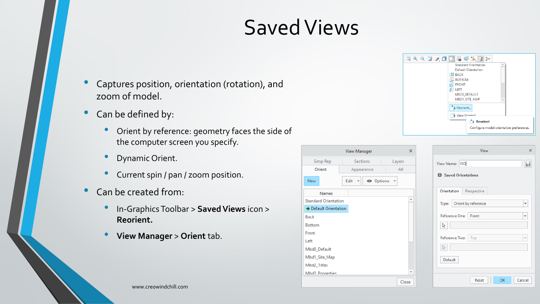## Saved Views

- Captures position, orientation (rotation), and zoom of model.
- Can be defined by:
	- Orient by reference: geometry faces the side of the computer screen you specify.
	- Dynamic Orient.
	- Current spin / pan / zoom position.
- Can be created from:
	- In-Graphics Toolbar <sup>&</sup>gt; **SavedViews** icon > **Reorient.**
	- **View Manager** > **Orient** tab.

| <b>View Manager</b>         |                        |        |  |  |  |  |
|-----------------------------|------------------------|--------|--|--|--|--|
| Simp Rep                    | <b>Sections</b>        | Layers |  |  |  |  |
| Orient                      | Appearance             | All    |  |  |  |  |
| New                         | O Options<br>Edit<br>▼ |        |  |  |  |  |
| <b>Names</b>                |                        |        |  |  |  |  |
| <b>Standard Orientation</b> |                        |        |  |  |  |  |
| → Default Orientation       |                        |        |  |  |  |  |
| <b>Back</b>                 |                        |        |  |  |  |  |
| <b>Bottom</b>               |                        |        |  |  |  |  |
| Front                       |                        |        |  |  |  |  |
| Left                        |                        |        |  |  |  |  |
| Mbd0_Default                |                        |        |  |  |  |  |
| Mbd1_Site_Map               |                        |        |  |  |  |  |
| Mbd2_Titles                 |                        |        |  |  |  |  |
| Mhd3 Properties             |                        |        |  |  |  |  |
|                             |                        | Close  |  |  |  |  |



| View                                             | x                        |
|--------------------------------------------------|--------------------------|
| View Name:   ISO<br><b>El Saved Orientations</b> |                          |
| Orientation<br>Perspective                       |                          |
| Type: Orient by reference                        | $\overline{\mathbf{v}}$  |
| Reference One: Front                             | ÷                        |
| V                                                |                          |
| Reference Two:<br>Top                            | $\overline{\phantom{a}}$ |
| Default                                          |                          |
|                                                  |                          |
| OK<br>Cancel<br>Reset                            |                          |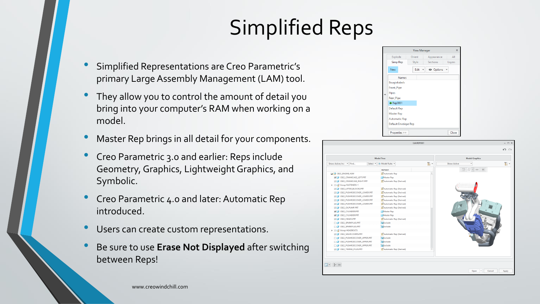## Simplified Reps

- Simplified Representations are Creo Parametric's primary Large Assembly Management (LAM) tool.
- They allow you to control the amount of detail you bring into your computer's RAM when working on a model.
- Master Rep brings in all detail for your components.
- Creo Parametric 3.0 and earlier: Reps include Geometry, Graphics, Lightweight Graphics, and Symbolic.
- Creo Parametric 4.0 and later: Automatic Rep introduced.
- Users can create custom representations.
- Be sure to use **Erase Not Displayed** after switching between Reps!



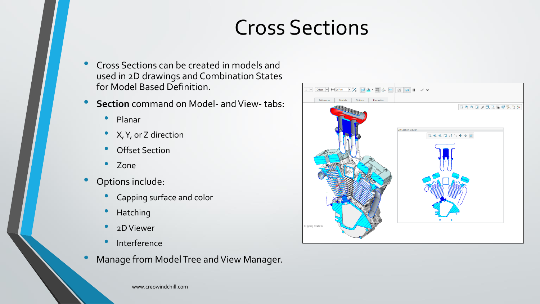## Cross Sections

- Cross Sections can be created in models and used in 2D drawings and Combination States for Model Based Definition.
- **Section** command on Model- and View- tabs:
	- Planar
	- X, Y, or Z direction
	- **Offset Section**
	- Zone
- Options include:
	- Capping surface and color
	- Hatching
	- 2D Viewer
	- Interference
- Manage from Model Tree and View Manager.

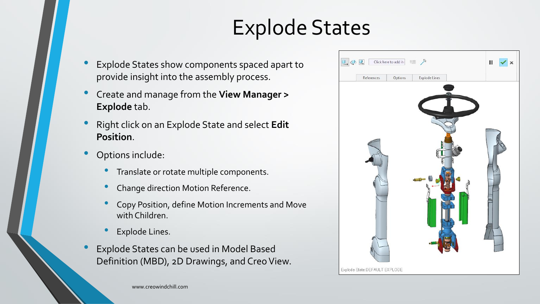## Explode States

- Explode States show components spaced apart to provide insight into the assembly process.
- Create and manage from the **View Manager > Explode** tab.
- Right click on an Explode State and select **Edit Position**.
- Options include:
	- Translate or rotate multiple components.
	- Change direction Motion Reference.
	- Copy Position, define Motion Increments and Move with Children.
	- **Explode Lines.**
- Explode States can be used in Model Based Definition (MBD), 2D Drawings, and Creo View.

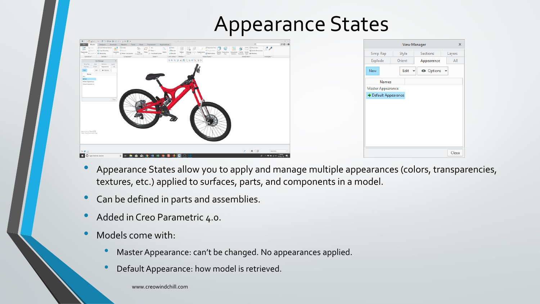### Appearance States

| ■ DBHの· o · # 9 0 + 3 BB · 2 8 Q ·<br>$-$ b $\times$<br>V10 Mill (Activer ) Dred Parametric<br>$\circ \circ \cdot \bullet$<br>Annotate Manikin Tools View Framework Applications<br>Analysis                                                                                                                                                                                                                                                                                                                                                                                                                                                                                                                                                                                                                                                                                                                                                                       | View Manager<br>$\times$                               |
|--------------------------------------------------------------------------------------------------------------------------------------------------------------------------------------------------------------------------------------------------------------------------------------------------------------------------------------------------------------------------------------------------------------------------------------------------------------------------------------------------------------------------------------------------------------------------------------------------------------------------------------------------------------------------------------------------------------------------------------------------------------------------------------------------------------------------------------------------------------------------------------------------------------------------------------------------------------------|--------------------------------------------------------|
| $\frac{0}{e}$<br>$\begin{array}{cc} \frac{\partial}{\partial t} \Theta & \lim_{\varepsilon \to 0} \lim_{\varepsilon \to 0} \frac{\partial}{\partial t} \lim_{\varepsilon \to 0} \partial \theta \mathrm{ind}\, \mathrm{fatter} \\ \end{array}$<br><b>ILE Create</b><br>[] Parameters<br>E <sup>d</sup> Exploded View<br>予<br>$\Box$<br>$,$ Any<br><b>D</b> direct<br>Patte - In Copy Geometry<br>" Point -<br>Estrude<br>frill Toggle Statu<br>Se Switch Dimensions<br>Sketch<br>Display Perspective Component Publish Family<br>Style * View Method Geometry Table da Relations<br>Drag<br>Pierre<br>$\frac{\text{P}}{\text{w}}$<br>Reponente X Dalais - 194 Shristoscap<br>Assemble<br>Manage Section<br>Appearances<br>v IC Minur Component Components<br>L. Coordinate System<br>C Edit Position Style *<br>do Revolve<br>Component *<br>Cut & Surface = Modifiers *<br>Investigate<br>Model Display *<br>Model Intent<br>Operations*<br>Get Data =<br>Datum + | Simp Rep<br>Style<br>Sections<br>Layers                |
| 日ミミコス氏は当年次日外<br>View Manager<br>Serie Rap<br>Style<br>Sections<br>1 Earnest                                                                                                                                                                                                                                                                                                                                                                                                                                                                                                                                                                                                                                                                                                                                                                                                                                                                                        | Orient<br>All<br>Explode<br>Appearance                 |
| Explode<br>Appearance<br>Edit = @ Options =<br>Names<br><b>Blue</b>                                                                                                                                                                                                                                                                                                                                                                                                                                                                                                                                                                                                                                                                                                                                                                                                                                                                                                | O Options v<br>Edit<br>New<br>$\overline{\phantom{a}}$ |
| $+2$<br>Master Appearance<br>Default Appearance                                                                                                                                                                                                                                                                                                                                                                                                                                                                                                                                                                                                                                                                                                                                                                                                                                                                                                                    | Names                                                  |
|                                                                                                                                                                                                                                                                                                                                                                                                                                                                                                                                                                                                                                                                                                                                                                                                                                                                                                                                                                    | Master Appearance                                      |
| Close                                                                                                                                                                                                                                                                                                                                                                                                                                                                                                                                                                                                                                                                                                                                                                                                                                                                                                                                                              | $\blacktriangleright$ Default Appearance               |
|                                                                                                                                                                                                                                                                                                                                                                                                                                                                                                                                                                                                                                                                                                                                                                                                                                                                                                                                                                    |                                                        |
| Appearance State RED<br>Simp Rep.Automatic Rep                                                                                                                                                                                                                                                                                                                                                                                                                                                                                                                                                                                                                                                                                                                                                                                                                                                                                                                     |                                                        |
| $\mathcal{S}$ $\mathbb{A}$ $\in$ $\mathcal{D}$<br>$\left  \cdot \mu \right $<br>Geometry                                                                                                                                                                                                                                                                                                                                                                                                                                                                                                                                                                                                                                                                                                                                                                                                                                                                           | Close                                                  |
| <b>JEBROHNESODO</b><br>$R^3 \sim 44$ M $\pm 0.01$ $(159 \text{ PM})$<br>D Type here to search                                                                                                                                                                                                                                                                                                                                                                                                                                                                                                                                                                                                                                                                                                                                                                                                                                                                      |                                                        |

- Appearance States allow you to apply and manage multiple appearances (colors, transparencies, textures, etc.) applied to surfaces, parts, and components in a model.
- Can be defined in parts and assemblies.
- Added in Creo Parametric 4.0.
- Models come with:
	- Master Appearance: can't be changed. No appearances applied.
	- Default Appearance: how model is retrieved.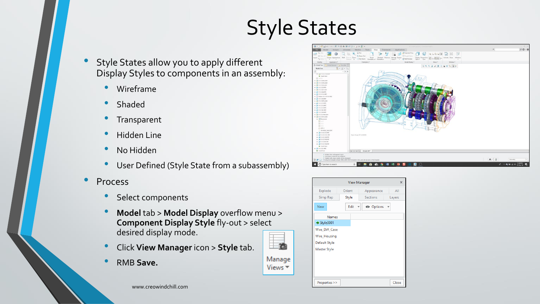## Style States

Manage Views  $\overline{\phantom{a}}$ 

- Style States allow you to apply different Display Styles to components in an assembly:
	- Wireframe
	- Shaded
	- **Transparent**
	- Hidden Line
	- No Hidden
	- User Defined (Style State from a subassembly)
- **Process** 
	- Select components
	- **Model** tab > **Model Display** overflow menu > **Component Display Style** fly-out > select desired display mode.
	- Click **View Manager** icon > **Style** tab.
	- RMB **Save.**



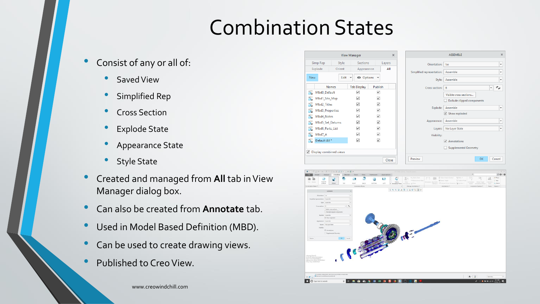## Combination States

- Consist of any or all of:
	- Saved View
	- Simplified Rep
	- Cross Section
	- **Explode State**
	- Appearance State
	- **Style State**
- Created and managed from **All** tab in View Manager dialog box.
- Can also be created from **Annotate** tab.
- Used in Model Based Definition (MBD).
- Can be used to create drawing views.
- Published to Creo View.

|            |                                        |        | <b>View Manager</b>                          |                              | $\boldsymbol{\times}$ | <b>ASSEMBLE</b>                                 |
|------------|----------------------------------------|--------|----------------------------------------------|------------------------------|-----------------------|-------------------------------------------------|
|            | Simp Rep                               | Style  | <b>Sections</b>                              |                              | Layers                | Orientation:<br><b>Iso</b>                      |
|            | Explode                                | Orient | Appearance                                   |                              | All                   | Assemble<br>Simplified representation:          |
| <b>New</b> |                                        | Edit   | <b>O</b> Options<br>$\overline{\phantom{a}}$ | $\overline{\mathbf{v}}$      |                       | Assemble<br>Style:                              |
|            | <b>Names</b>                           |        | <b>Tab Display</b>                           | Publish                      |                       | B<br>Cross section:<br>$\overline{\phantom{a}}$ |
| 동          | Mbd0_Default                           |        | $\checkmark$                                 | $\checkmark$                 |                       | Visible cross sections                          |
| 동<br>동     | Mbd1_Site_Map<br>Mbd2_Titles           |        | $\overline{\checkmark}$<br>$\checkmark$      | $\checkmark$<br>$\checkmark$ |                       | Exclude clipped components                      |
| 동          | Mbd3_Properties                        |        | ⊽                                            | $\checkmark$                 |                       | Assemble<br>Explode:                            |
| 동          | Mbd4_Notes                             |        | $\blacktriangledown$                         | $\checkmark$                 |                       | $\vee$ Show exploded<br>Assemble                |
| 晶<br>도     | Mbd5_Set_Datums                        |        | ✓<br>$\blacktriangledown$                    | $\checkmark$<br>$\checkmark$ |                       | Appearance:                                     |
| 동          | Mbd6_Parts_List<br>Mbd7 A              |        | ▽                                            | $\checkmark$                 |                       | No Layer State<br>Layers:<br>Visibility:        |
| 도          | Default All*                           |        | $\blacktriangledown$                         | $\checkmark$                 |                       | ☑<br>Annotations                                |
|            | $\triangledown$ Display combined views |        |                                              |                              |                       | Supplemental Geometry                           |
|            |                                        |        |                                              |                              | Close                 | OK<br>Preview                                   |

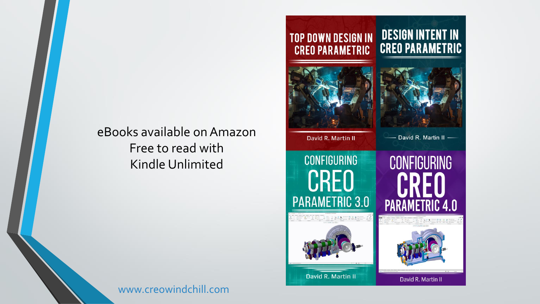#### eBooks available on Amazon Free to read with Kindle Unlimited